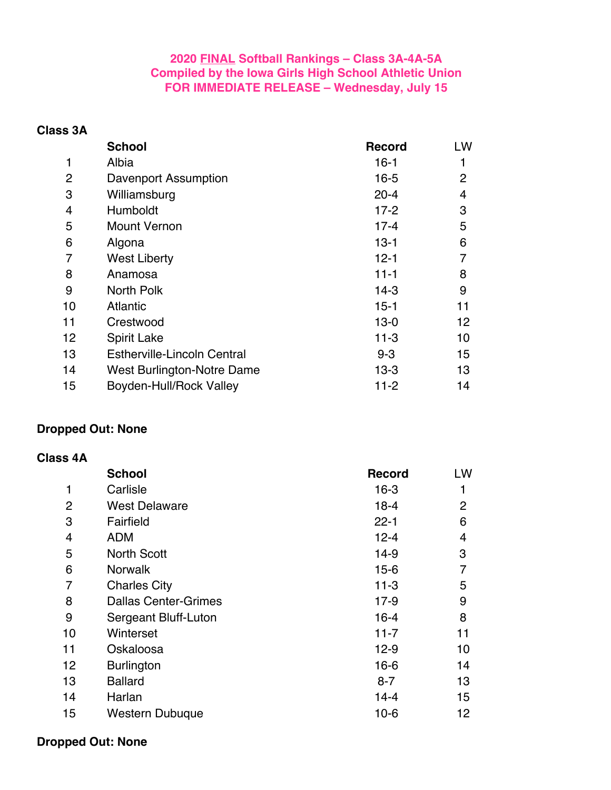### **2020 FINAL Softball Rankings – Class 3A-4A-5A Compiled by the Iowa Girls High School Athletic Union FOR IMMEDIATE RELEASE – Wednesday, July 15**

**Class 3A**

|                | <b>School</b>                      | <b>Record</b> | LW             |
|----------------|------------------------------------|---------------|----------------|
| 1              | Albia                              | $16-1$        |                |
| 2              | Davenport Assumption               | $16 - 5$      | $\overline{2}$ |
| 3              | Williamsburg                       | $20 - 4$      | 4              |
| $\overline{4}$ | Humboldt                           | $17 - 2$      | 3              |
| 5              | <b>Mount Vernon</b>                | $17 - 4$      | 5              |
| 6              | Algona                             | $13 - 1$      | 6              |
| 7              | <b>West Liberty</b>                | $12 - 1$      |                |
| 8              | Anamosa                            | $11 - 1$      | 8              |
| 9              | North Polk                         | $14-3$        | 9              |
| 10             | <b>Atlantic</b>                    | $15 - 1$      | 11             |
| 11             | Crestwood                          | $13 - 0$      | 12             |
| 12             | <b>Spirit Lake</b>                 | $11 - 3$      | 10             |
| 13             | <b>Estherville-Lincoln Central</b> | $9 - 3$       | 15             |
| 14             | West Burlington-Notre Dame         | $13-3$        | 13             |
| 15             | <b>Boyden-Hull/Rock Valley</b>     | $11 - 2$      | 14             |

#### **Dropped Out: None**

#### **Class 4A**

|                | <b>School</b>               | <b>Record</b> | LW |
|----------------|-----------------------------|---------------|----|
| 1              | Carlisle                    | $16-3$        |    |
| 2              | <b>West Delaware</b>        | $18 - 4$      | 2  |
| 3              | Fairfield                   | $22 - 1$      | 6  |
| $\overline{4}$ | <b>ADM</b>                  | $12 - 4$      | 4  |
| 5              | <b>North Scott</b>          | $14-9$        | 3  |
| 6              | <b>Norwalk</b>              | $15 - 6$      | 7  |
| 7              | <b>Charles City</b>         | $11 - 3$      | 5  |
| 8              | <b>Dallas Center-Grimes</b> | $17-9$        | 9  |
| 9              | Sergeant Bluff-Luton        | $16 - 4$      | 8  |
| 10             | Winterset                   | $11 - 7$      | 11 |
| 11             | Oskaloosa                   | $12-9$        | 10 |
| 12             | <b>Burlington</b>           | $16 - 6$      | 14 |
| 13             | <b>Ballard</b>              | $8 - 7$       | 13 |
| 14             | Harlan                      | $14 - 4$      | 15 |
| 15             | <b>Western Dubuque</b>      | $10-6$        | 12 |

### **Dropped Out: None**